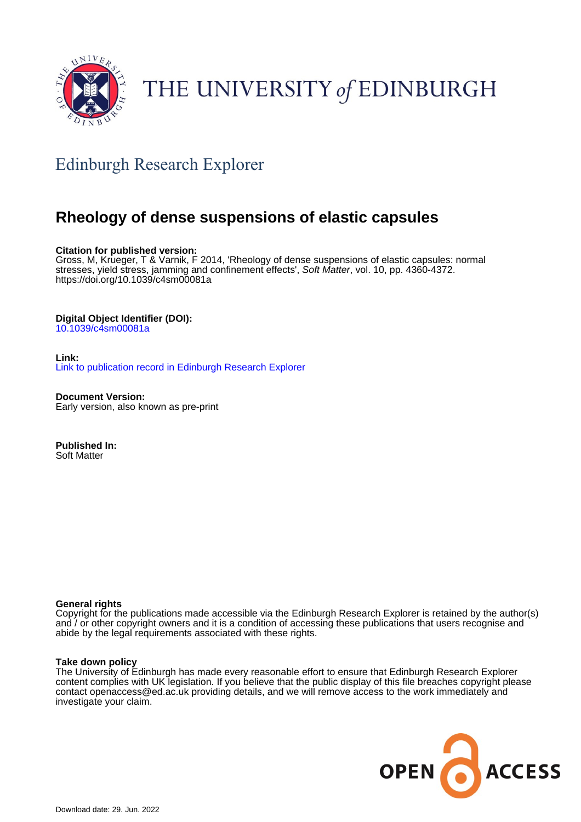

# THE UNIVERSITY of EDINBURGH

# Edinburgh Research Explorer

# **Rheology of dense suspensions of elastic capsules**

## **Citation for published version:**

Gross, M, Krueger, T & Varnik, F 2014, 'Rheology of dense suspensions of elastic capsules: normal stresses, yield stress, jamming and confinement effects', Soft Matter, vol. 10, pp. 4360-4372. <https://doi.org/10.1039/c4sm00081a>

# **Digital Object Identifier (DOI):**

[10.1039/c4sm00081a](https://doi.org/10.1039/c4sm00081a)

**Link:** [Link to publication record in Edinburgh Research Explorer](https://www.research.ed.ac.uk/en/publications/fa639fc0-7b91-4b06-b193-18c044e6541d)

**Document Version:** Early version, also known as pre-print

**Published In:** Soft Matter

## **General rights**

Copyright for the publications made accessible via the Edinburgh Research Explorer is retained by the author(s) and / or other copyright owners and it is a condition of accessing these publications that users recognise and abide by the legal requirements associated with these rights.

## **Take down policy**

The University of Edinburgh has made every reasonable effort to ensure that Edinburgh Research Explorer content complies with UK legislation. If you believe that the public display of this file breaches copyright please contact openaccess@ed.ac.uk providing details, and we will remove access to the work immediately and investigate your claim.

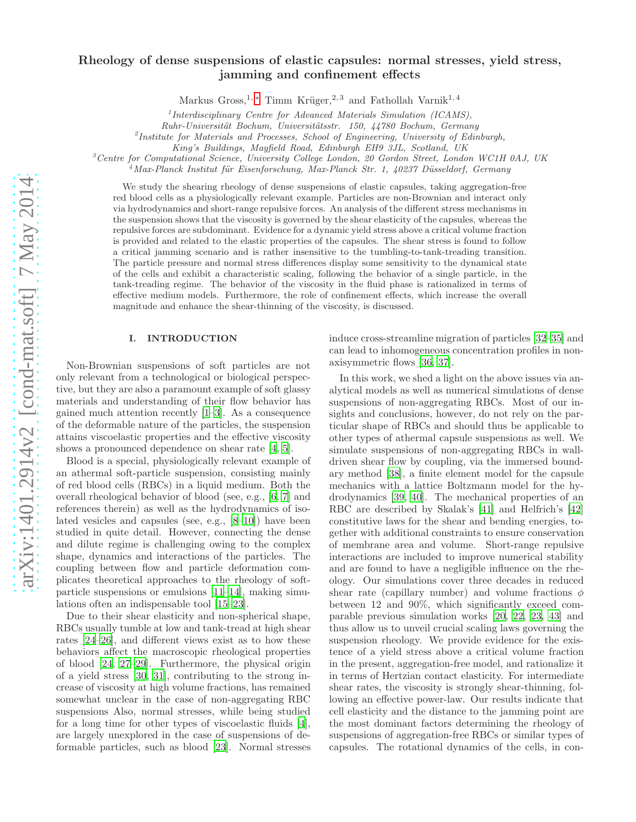# Rheology of dense suspensions of elastic capsules: normal stresses, yield stress, jamming and confinement effects

Markus Gross,<sup>1,\*</sup> Timm Krüger,<sup>2,3</sup> and Fathollah Varnik<sup>1,4</sup>

1 *Interdisciplinary Centre for Advanced Materials Simulation (ICAMS),*

*Ruhr-Universit¨at Bochum, Universit¨atsstr. 150, 44780 Bochum, Germany*

2 *Institute for Materials and Processes, School of Engineering, University of Edinburgh,*

*King's Buildings, Mayfield Road, Edinburgh EH9 3JL, Scotland, UK*

<sup>3</sup>*Centre for Computational Science, University College London, 20 Gordon Street, London WC1H 0AJ, UK*

<sup>4</sup>*Max-Planck Institut f¨ur Eisenforschung, Max-Planck Str. 1, 40237 D¨usseldorf, Germany*

We study the shearing rheology of dense suspensions of elastic capsules, taking aggregation-free red blood cells as a physiologically relevant example. Particles are non-Brownian and interact only via hydrodynamics and short-range repulsive forces. An analysis of the different stress mechanisms in the suspension shows that the viscosity is governed by the shear elasticity of the capsules, whereas the repulsive forces are subdominant. Evidence for a dynamic yield stress above a critical volume fraction is provided and related to the elastic properties of the capsules. The shear stress is found to follow a critical jamming scenario and is rather insensitive to the tumbling-to-tank-treading transition. The particle pressure and normal stress differences display some sensitivity to the dynamical state of the cells and exhibit a characteristic scaling, following the behavior of a single particle, in the tank-treading regime. The behavior of the viscosity in the fluid phase is rationalized in terms of effective medium models. Furthermore, the role of confinement effects, which increase the overall magnitude and enhance the shear-thinning of the viscosity, is discussed.

#### I. INTRODUCTION

Non-Brownian suspensions of soft particles are not only relevant from a technological or biological perspective, but they are also a paramount example of soft glassy materials and understanding of their flow behavior has gained much attention recently [\[1](#page-13-1)[–3\]](#page-13-2). As a consequence of the deformable nature of the particles, the suspension attains viscoelastic properties and the effective viscosity shows a pronounced dependence on shear rate [\[4](#page-13-3), [5](#page-13-4)].

Blood is a special, physiologically relevant example of an athermal soft-particle suspension, consisting mainly of red blood cells (RBCs) in a liquid medium. Both the overall rheological behavior of blood (see, e.g., [\[6](#page-13-5), [7](#page-13-6)] and references therein) as well as the hydrodynamics of isolated vesicles and capsules (see, e.g., [\[8](#page-13-7)[–10](#page-13-8)]) have been studied in quite detail. However, connecting the dense and dilute regime is challenging owing to the complex shape, dynamics and interactions of the particles. The coupling between flow and particle deformation complicates theoretical approaches to the rheology of softparticle suspensions or emulsions [\[11](#page-13-9)[–14\]](#page-13-10), making simulations often an indispensable tool [\[15](#page-13-11)[–23](#page-13-12)].

Due to their shear elasticity and non-spherical shape, RBCs usually tumble at low and tank-tread at high shear rates [\[24](#page-13-13)[–26\]](#page-13-14), and different views exist as to how these behaviors affect the macroscopic rheological properties of blood [\[24](#page-13-13), [27](#page-13-15)[–29\]](#page-13-16). Furthermore, the physical origin of a yield stress [\[30,](#page-13-17) [31\]](#page-13-18), contributing to the strong increase of viscosity at high volume fractions, has remained somewhat unclear in the case of non-aggregating RBC suspensions Also, normal stresses, while being studied for a long time for other types of viscoelastic fluids [\[4\]](#page-13-3), are largely unexplored in the case of suspensions of deformable particles, such as blood [\[23\]](#page-13-12). Normal stresses induce cross-streamline migration of particles [\[32](#page-13-19)[–35\]](#page-13-20) and can lead to inhomogeneous concentration profiles in nonaxisymmetric flows [\[36,](#page-13-21) [37\]](#page-13-22).

In this work, we shed a light on the above issues via analytical models as well as numerical simulations of dense suspensions of non-aggregating RBCs. Most of our insights and conclusions, however, do not rely on the particular shape of RBCs and should thus be applicable to other types of athermal capsule suspensions as well. We simulate suspensions of non-aggregating RBCs in walldriven shear flow by coupling, via the immersed boundary method [\[38\]](#page-13-23), a finite element model for the capsule mechanics with a lattice Boltzmann model for the hydrodynamics [\[39](#page-13-24), [40](#page-13-25)]. The mechanical properties of an RBC are described by Skalak's [\[41\]](#page-13-26) and Helfrich's [\[42](#page-13-27)] constitutive laws for the shear and bending energies, together with additional constraints to ensure conservation of membrane area and volume. Short-range repulsive interactions are included to improve numerical stability and are found to have a negligible influence on the rheology. Our simulations cover three decades in reduced shear rate (capillary number) and volume fractions  $\phi$ between 12 and 90%, which significantly exceed comparable previous simulation works [\[20,](#page-13-28) [22,](#page-13-29) [23,](#page-13-12) [43\]](#page-13-30) and thus allow us to unveil crucial scaling laws governing the suspension rheology. We provide evidence for the existence of a yield stress above a critical volume fraction in the present, aggregation-free model, and rationalize it in terms of Hertzian contact elasticity. For intermediate shear rates, the viscosity is strongly shear-thinning, following an effective power-law. Our results indicate that cell elasticity and the distance to the jamming point are the most dominant factors determining the rheology of suspensions of aggregation-free RBCs or similar types of capsules. The rotational dynamics of the cells, in con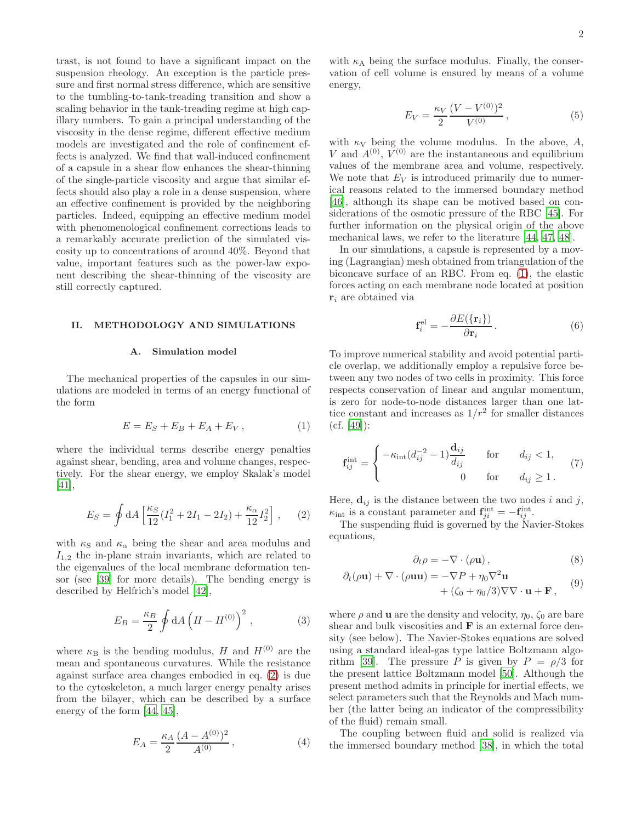trast, is not found to have a significant impact on the suspension rheology. An exception is the particle pressure and first normal stress difference, which are sensitive to the tumbling-to-tank-treading transition and show a scaling behavior in the tank-treading regime at high capillary numbers. To gain a principal understanding of the viscosity in the dense regime, different effective medium models are investigated and the role of confinement effects is analyzed. We find that wall-induced confinement of a capsule in a shear flow enhances the shear-thinning of the single-particle viscosity and argue that similar effects should also play a role in a dense suspension, where an effective confinement is provided by the neighboring particles. Indeed, equipping an effective medium model with phenomenological confinement corrections leads to a remarkably accurate prediction of the simulated viscosity up to concentrations of around 40%. Beyond that value, important features such as the power-law exponent describing the shear-thinning of the viscosity are still correctly captured.

#### II. METHODOLOGY AND SIMULATIONS

#### A. Simulation model

The mechanical properties of the capsules in our simulations are modeled in terms of an energy functional of the form

<span id="page-2-1"></span>
$$
E = E_S + E_B + E_A + E_V, \qquad (1)
$$

where the individual terms describe energy penalties against shear, bending, area and volume changes, respectively. For the shear energy, we employ Skalak's model [\[41\]](#page-13-26),

<span id="page-2-0"></span>
$$
E_S = \oint dA \left[ \frac{\kappa_S}{12} (I_1^2 + 2I_1 - 2I_2) + \frac{\kappa_\alpha}{12} I_2^2 \right], \quad (2)
$$

with  $\kappa_{\rm S}$  and  $\kappa_{\alpha}$  being the shear and area modulus and  $I_{1,2}$  the in-plane strain invariants, which are related to the eigenvalues of the local membrane deformation tensor (see [\[39](#page-13-24)] for more details). The bending energy is described by Helfrich's model [\[42](#page-13-27)],

$$
E_B = \frac{\kappa_B}{2} \oint dA \left( H - H^{(0)} \right)^2, \qquad (3)
$$

where  $\kappa_B$  is the bending modulus, H and  $H^{(0)}$  are the mean and spontaneous curvatures. While the resistance against surface area changes embodied in eq. [\(2\)](#page-2-0) is due to the cytoskeleton, a much larger energy penalty arises from the bilayer, which can be described by a surface energy of the form [\[44,](#page-13-31) [45\]](#page-14-0),

$$
E_A = \frac{\kappa_A}{2} \frac{(A - A^{(0)})^2}{A^{(0)}},\tag{4}
$$

with  $\kappa_A$  being the surface modulus. Finally, the conservation of cell volume is ensured by means of a volume energy,

$$
E_V = \frac{\kappa_V}{2} \frac{(V - V^{(0)})^2}{V^{(0)}},\tag{5}
$$

with  $\kappa_V$  being the volume modulus. In the above, A, V and  $A^{(0)}$ ,  $V^{(0)}$  are the instantaneous and equilibrium values of the membrane area and volume, respectively. We note that  $E_V$  is introduced primarily due to numerical reasons related to the immersed boundary method [\[46\]](#page-14-1), although its shape can be motived based on considerations of the osmotic pressure of the RBC [\[45\]](#page-14-0). For further information on the physical origin of the above mechanical laws, we refer to the literature [\[44,](#page-13-31) [47,](#page-14-2) [48\]](#page-14-3).

In our simulations, a capsule is represented by a moving (Lagrangian) mesh obtained from triangulation of the biconcave surface of an RBC. From eq. [\(1\)](#page-2-1), the elastic forces acting on each membrane node located at position  $\mathbf{r}_i$  are obtained via

<span id="page-2-2"></span>
$$
\mathbf{f}_i^{\text{el}} = -\frac{\partial E(\{\mathbf{r}_i\})}{\partial \mathbf{r}_i} \,. \tag{6}
$$

To improve numerical stability and avoid potential particle overlap, we additionally employ a repulsive force between any two nodes of two cells in proximity. This force respects conservation of linear and angular momentum, is zero for node-to-node distances larger than one lattice constant and increases as  $1/r^2$  for smaller distances  $(cf. [49]):$  $(cf. [49]):$  $(cf. [49]):$ 

<span id="page-2-3"></span>
$$
\mathbf{f}_{ij}^{\text{int}} = \begin{cases}\n-\kappa_{\text{int}}(d_{ij}^{-2} - 1) \frac{\mathbf{d}_{ij}}{d_{ij}} & \text{for} \quad d_{ij} < 1, \\
0 & \text{for} \quad d_{ij} \ge 1.\n\end{cases} \tag{7}
$$

Here,  $\mathbf{d}_{ij}$  is the distance between the two nodes i and j,  $\kappa_{\rm int}$  is a constant parameter and  $\mathbf{f}_{ji}^{\rm int} = -\mathbf{f}_{ij}^{\rm int}$ .

The suspending fluid is governed by the Navier-Stokes equations,

$$
\partial_t \rho = -\nabla \cdot (\rho \mathbf{u}),\tag{8}
$$

$$
\partial_t(\rho \mathbf{u}) + \nabla \cdot (\rho \mathbf{u} \mathbf{u}) = -\nabla P + \eta_0 \nabla^2 \mathbf{u}
$$
\n(9)

$$
+ (\zeta_0 + \eta_0/3)\nabla\nabla\cdot\mathbf{u} + \mathbf{F}, \qquad (3)
$$

where  $\rho$  and **u** are the density and velocity,  $\eta_0$ ,  $\zeta_0$  are bare shear and bulk viscosities and **F** is an external force density (see below). The Navier-Stokes equations are solved using a standard ideal-gas type lattice Boltzmann algo-rithm [\[39](#page-13-24)]. The pressure P is given by  $P = \rho/3$  for the present lattice Boltzmann model [\[50\]](#page-14-5). Although the present method admits in principle for inertial effects, we select parameters such that the Reynolds and Mach number (the latter being an indicator of the compressibility of the fluid) remain small.

The coupling between fluid and solid is realized via the immersed boundary method [\[38](#page-13-23)], in which the total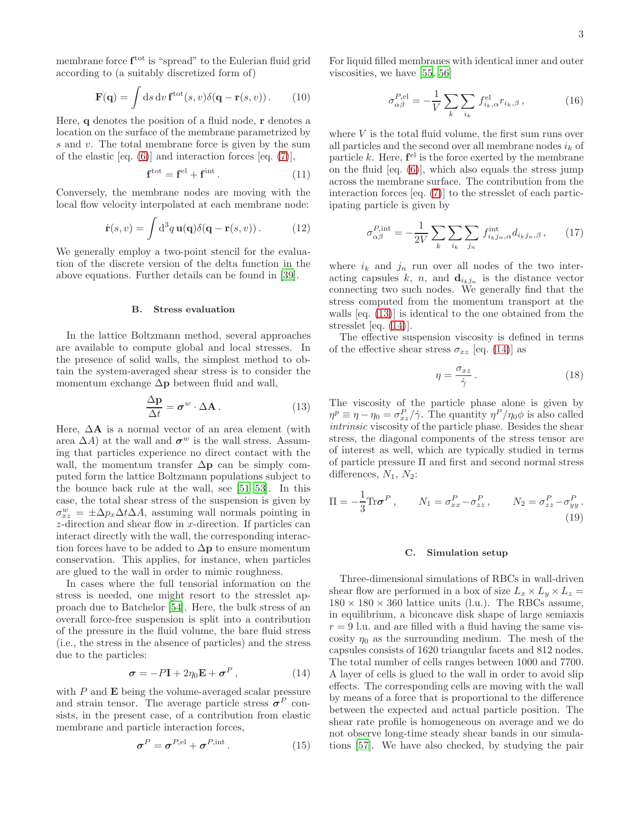membrane force  $f<sup>tot</sup>$  is "spread" to the Eulerian fluid grid according to (a suitably discretized form of)

$$
\mathbf{F}(\mathbf{q}) = \int \mathrm{d}s \, \mathrm{d}v \, \mathbf{f}^{\text{tot}}(s, v) \delta(\mathbf{q} - \mathbf{r}(s, v)). \tag{10}
$$

Here, q denotes the position of a fluid node, r denotes a location on the surface of the membrane parametrized by s and v. The total membrane force is given by the sum of the elastic  $[eq. (6)]$  $[eq. (6)]$  $[eq. (6)]$  and interaction forces  $[eq. (7)],$  $[eq. (7)],$  $[eq. (7)],$ 

<span id="page-3-3"></span>
$$
\mathbf{f}^{\text{tot}} = \mathbf{f}^{\text{el}} + \mathbf{f}^{\text{int}}.
$$
 (11)

Conversely, the membrane nodes are moving with the local flow velocity interpolated at each membrane node:

$$
\dot{\mathbf{r}}(s,v) = \int d^3q \, \mathbf{u}(\mathbf{q}) \delta(\mathbf{q} - \mathbf{r}(s,v)). \tag{12}
$$

We generally employ a two-point stencil for the evaluation of the discrete version of the delta function in the above equations. Further details can be found in [\[39\]](#page-13-24).

#### B. Stress evaluation

In the lattice Boltzmann method, several approaches are available to compute global and local stresses. In the presence of solid walls, the simplest method to obtain the system-averaged shear stress is to consider the momentum exchange  $\Delta p$  between fluid and wall,

<span id="page-3-0"></span>
$$
\frac{\Delta \mathbf{p}}{\Delta t} = \boldsymbol{\sigma}^w \cdot \Delta \mathbf{A} \,. \tag{13}
$$

Here,  $\Delta A$  is a normal vector of an area element (with area  $\Delta A$ ) at the wall and  $\sigma^w$  is the wall stress. Assuming that particles experience no direct contact with the wall, the momentum transfer  $\Delta p$  can be simply computed form the lattice Boltzmann populations subject to the bounce back rule at the wall, see [\[51](#page-14-6)[–53\]](#page-14-7). In this case, the total shear stress of the suspension is given by  $\sigma_{xz}^w = \pm \Delta p_x \Delta t \Delta A$ , assuming wall normals pointing in z-direction and shear flow in x-direction. If particles can interact directly with the wall, the corresponding interaction forces have to be added to  $\Delta p$  to ensure momentum conservation. This applies, for instance, when particles are glued to the wall in order to mimic roughness.

In cases where the full tensorial information on the stress is needed, one might resort to the stresslet approach due to Batchelor [\[54\]](#page-14-8). Here, the bulk stress of an overall force-free suspension is split into a contribution of the pressure in the fluid volume, the bare fluid stress (i.e., the stress in the absence of particles) and the stress due to the particles:

<span id="page-3-1"></span>
$$
\sigma = -P\mathbf{I} + 2\eta_0 \mathbf{E} + \sigma^P, \qquad (14)
$$

with  $P$  and  $E$  being the volume-averaged scalar pressure and strain tensor. The average particle stress  $\sigma^P$  consists, in the present case, of a contribution from elastic membrane and particle interaction forces,

<span id="page-3-6"></span>
$$
\sigma^P = \sigma^{P,\text{el}} + \sigma^{P,\text{int}}.
$$
 (15)

For liquid filled membranes with identical inner and outer viscosities, we have [\[55,](#page-14-9) [56\]](#page-14-10)

<span id="page-3-4"></span>
$$
\sigma_{\alpha\beta}^{\text{P,el}} = -\frac{1}{V} \sum_{k} \sum_{i_k} f_{i_k,\alpha}^{\text{el}} r_{i_k,\beta} \,, \tag{16}
$$

where  $V$  is the total fluid volume, the first sum runs over all particles and the second over all membrane nodes  $i_k$  of particle  $k$ . Here,  $f<sup>el</sup>$  is the force exerted by the membrane on the fluid [eq. [\(6\)](#page-2-2)], which also equals the stress jump across the membrane surface. The contribution from the interaction forces [eq. [\(7\)](#page-2-3)] to the stresslet of each participating particle is given by

<span id="page-3-5"></span>
$$
\sigma_{\alpha\beta}^{P,\text{int}} = -\frac{1}{2V} \sum_{k} \sum_{i_k} \sum_{j_n} f_{i_k j_n,\alpha}^{\text{int}} d_{i_k j_n,\beta} , \qquad (17)
$$

where  $i_k$  and  $j_n$  run over all nodes of the two interacting capsules k, n, and  $\mathbf{d}_{i_kj_n}$  is the distance vector connecting two such nodes. We generally find that the stress computed from the momentum transport at the walls [eq. [\(13\)](#page-3-0)] is identical to the one obtained from the stresslet [eq. [\(14\)](#page-3-1)].

The effective suspension viscosity is defined in terms of the effective shear stress  $\sigma_{xz}$  [eq. [\(14\)](#page-3-1)] as

<span id="page-3-2"></span>
$$
\eta = \frac{\sigma_{xz}}{\dot{\gamma}}.
$$
\n(18)

The viscosity of the particle phase alone is given by  $\eta^p \equiv \eta - \eta_0 = \sigma_{xz}^P / \dot{\gamma}$ . The quantity  $\eta^P / \eta_0 \phi$  is also called intrinsic viscosity of the particle phase. Besides the shear stress, the diagonal components of the stress tensor are of interest as well, which are typically studied in terms of particle pressure Π and first and second normal stress differences,  $N_1$ ,  $N_2$ :

<span id="page-3-7"></span>
$$
\Pi = -\frac{1}{3} \text{Tr} \boldsymbol{\sigma}^P, \qquad N_1 = \sigma_{xx}^P - \sigma_{zz}^P, \qquad N_2 = \sigma_{zz}^P - \sigma_{yy}^P. \tag{19}
$$

#### C. Simulation setup

Three-dimensional simulations of RBCs in wall-driven shear flow are performed in a box of size  $L_x \times L_y \times L_z =$  $180 \times 180 \times 360$  lattice units (l.u.). The RBCs assume, in equilibrium, a biconcave disk shape of large semiaxis  $r = 9$  l.u. and are filled with a fluid having the same viscosity  $\eta_0$  as the surrounding medium. The mesh of the capsules consists of 1620 triangular facets and 812 nodes. The total number of cells ranges between 1000 and 7700. A layer of cells is glued to the wall in order to avoid slip effects. The corresponding cells are moving with the wall by means of a force that is proportional to the difference between the expected and actual particle position. The shear rate profile is homogeneous on average and we do not observe long-time steady shear bands in our simulations [\[57\]](#page-14-11). We have also checked, by studying the pair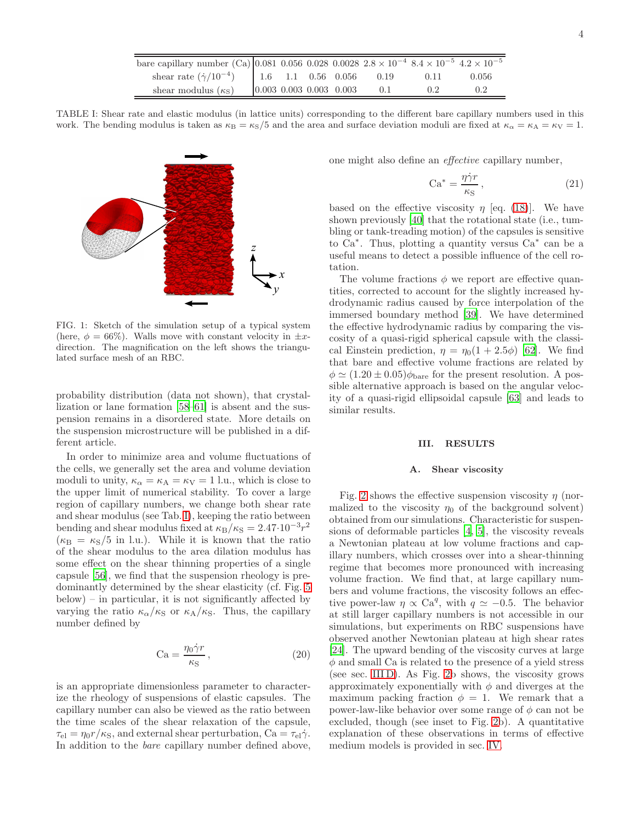| bare capillary number (Ca) 0.081 0.056 0.028 0.0028 $2.8 \times 10^{-4}$ $8.4 \times 10^{-5}$ $4.2 \times 10^{-5}$ |  |                           |       |        |       |
|--------------------------------------------------------------------------------------------------------------------|--|---------------------------|-------|--------|-------|
| shear rate $(\dot{\gamma}/10^{-4})$   1.6   1.1   0.56   0.056                                                     |  |                           | 0.19  | 0.11   | 0.056 |
| shear modulus $(\kappa_{\rm S})$                                                                                   |  | $0.003$ 0.003 0.003 0.003 | (0.1) | (1, 2) | 02    |

TABLE I: Shear rate and elastic modulus (in lattice units) corresponding to the different bare capillary numbers used in this work. The bending modulus is taken as  $\kappa_B = \kappa_S/5$  and the area and surface deviation moduli are fixed at  $\kappa_\alpha = \kappa_A = \kappa_V = 1$ .

<span id="page-4-0"></span>

FIG. 1: Sketch of the simulation setup of a typical system (here,  $\phi = 66\%$ ). Walls move with constant velocity in  $\pm x$ direction. The magnification on the left shows the triangulated surface mesh of an RBC.

probability distribution (data not shown), that crystallization or lane formation [\[58](#page-14-12)[–61](#page-14-13)] is absent and the suspension remains in a disordered state. More details on the suspension microstructure will be published in a different article.

In order to minimize area and volume fluctuations of the cells, we generally set the area and volume deviation moduli to unity,  $\kappa_{\alpha} = \kappa_{A} = \kappa_{V} = 1$  l.u., which is close to the upper limit of numerical stability. To cover a large region of capillary numbers, we change both shear rate and shear modulus (see Tab. [I\)](#page-4-0), keeping the ratio between bending and shear modulus fixed at  $\kappa_B/\kappa_S = 2.47 \cdot 10^{-3} r^2$  $(\kappa_{\rm B} = \kappa_{\rm S}/5$  in l.u.). While it is known that the ratio of the shear modulus to the area dilation modulus has some effect on the shear thinning properties of a single capsule [\[56\]](#page-14-10), we find that the suspension rheology is predominantly determined by the shear elasticity (cf. Fig. [5](#page-7-0) below) – in particular, it is not significantly affected by varying the ratio  $\kappa_\alpha/\kappa_S$  or  $\kappa_A/\kappa_S$ . Thus, the capillary number defined by

$$
Ca = \frac{\eta_0 \dot{\gamma} r}{\kappa_S},\qquad(20)
$$

is an appropriate dimensionless parameter to characterize the rheology of suspensions of elastic capsules. The capillary number can also be viewed as the ratio between the time scales of the shear relaxation of the capsule,  $\tau_{\text{el}} = \eta_0 r / \kappa_{\text{S}}$ , and external shear perturbation, Ca =  $\tau_{\text{el}} \dot{\gamma}$ . In addition to the bare capillary number defined above,

one might also define an effective capillary number,

$$
\text{Ca}^* = \frac{\eta \dot{\gamma} r}{\kappa_{\text{S}}},\tag{21}
$$

based on the effective viscosity  $\eta$  [eq. [\(18\)](#page-3-2)]. We have shown previously [\[40\]](#page-13-25) that the rotational state (i.e., tumbling or tank-treading motion) of the capsules is sensitive to  $Ca^*$ . Thus, plotting a quantity versus  $Ca^*$  can be a useful means to detect a possible influence of the cell rotation.

The volume fractions  $\phi$  we report are effective quantities, corrected to account for the slightly increased hydrodynamic radius caused by force interpolation of the immersed boundary method [\[39\]](#page-13-24). We have determined the effective hydrodynamic radius by comparing the viscosity of a quasi-rigid spherical capsule with the classical Einstein prediction,  $\eta = \eta_0(1 + 2.5\phi)$  [\[62\]](#page-14-14). We find that bare and effective volume fractions are related by  $\phi \simeq (1.20 \pm 0.05) \phi_{\text{bare}}$  for the present resolution. A possible alternative approach is based on the angular velocity of a quasi-rigid ellipsoidal capsule [\[63](#page-14-15)] and leads to similar results.

#### III. RESULTS

#### A. Shear viscosity

Fig. [2](#page-5-0) shows the effective suspension viscosity  $\eta$  (normalized to the viscosity  $\eta_0$  of the background solvent) obtained from our simulations. Characteristic for suspensions of deformable particles [\[4](#page-13-3), [5\]](#page-13-4), the viscosity reveals a Newtonian plateau at low volume fractions and capillary numbers, which crosses over into a shear-thinning regime that becomes more pronounced with increasing volume fraction. We find that, at large capillary numbers and volume fractions, the viscosity follows an effective power-law  $\eta \propto \text{Ca}^q$ , with  $q \simeq -0.5$ . The behavior at still larger capillary numbers is not accessible in our simulations, but experiments on RBC suspensions have observed another Newtonian plateau at high shear rates [\[24\]](#page-13-13). The upward bending of the viscosity curves at large  $\phi$  and small Ca is related to the presence of a yield stress (see sec. [III D\)](#page-6-0). As Fig. [2b](#page-5-0) shows, the viscosity grows approximately exponentially with  $\phi$  and diverges at the maximum packing fraction  $\phi = 1$ . We remark that a power-law-like behavior over some range of  $\phi$  can not be excluded, though (see inset to Fig. [2b](#page-5-0)). A quantitative explanation of these observations in terms of effective medium models is provided in sec. [IV.](#page-10-0)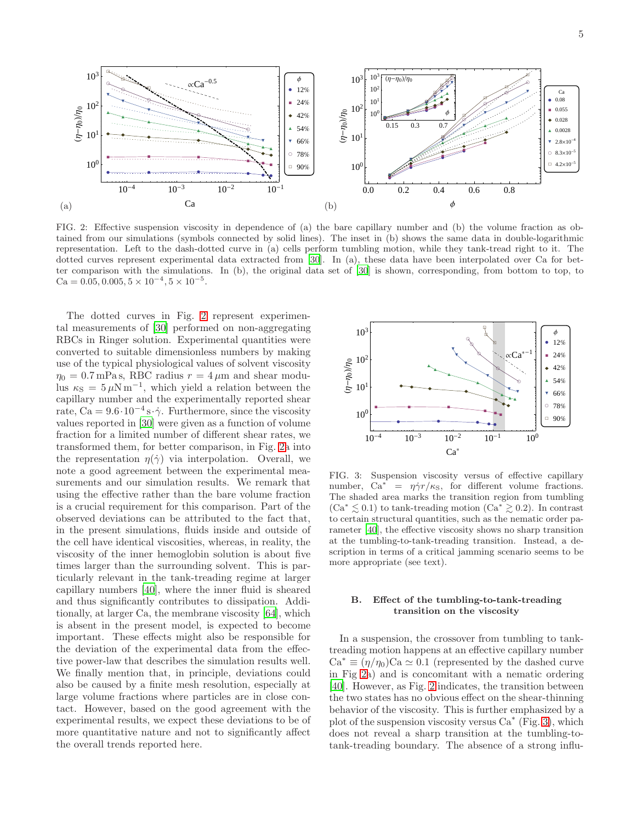

<span id="page-5-0"></span>FIG. 2: Effective suspension viscosity in dependence of (a) the bare capillary number and (b) the volume fraction as obtained from our simulations (symbols connected by solid lines). The inset in (b) shows the same data in double-logarithmic representation. Left to the dash-dotted curve in (a) cells perform tumbling motion, while they tank-tread right to it. The dotted curves represent experimental data extracted from [\[30](#page-13-17)]. In (a), these data have been interpolated over Ca for better comparison with the simulations. In (b), the original data set of [\[30](#page-13-17)] is shown, corresponding, from bottom to top, to Ca =  $0.05, 0.005, 5 \times 10^{-4}, 5 \times 10^{-5}$ .

The dotted curves in Fig. [2](#page-5-0) represent experimental measurements of [\[30\]](#page-13-17) performed on non-aggregating RBCs in Ringer solution. Experimental quantities were converted to suitable dimensionless numbers by making use of the typical physiological values of solvent viscosity  $\eta_0 = 0.7$  mPa s, RBC radius  $r = 4 \mu$ m and shear modulus  $\kappa_{\rm S} = 5 \,\mu \rm N \, m^{-1}$ , which yield a relation between the capillary number and the experimentally reported shear rate, Ca =  $9.6 \cdot 10^{-4}$  s $\cdot \dot{\gamma}$ . Furthermore, since the viscosity values reported in [\[30\]](#page-13-17) were given as a function of volume fraction for a limited number of different shear rates, we transformed them, for better comparison, in Fig. [2a](#page-5-0) into the representation  $\eta(\dot{\gamma})$  via interpolation. Overall, we note a good agreement between the experimental measurements and our simulation results. We remark that using the effective rather than the bare volume fraction is a crucial requirement for this comparison. Part of the observed deviations can be attributed to the fact that, in the present simulations, fluids inside and outside of the cell have identical viscosities, whereas, in reality, the viscosity of the inner hemoglobin solution is about five times larger than the surrounding solvent. This is particularly relevant in the tank-treading regime at larger capillary numbers [\[40](#page-13-25)], where the inner fluid is sheared and thus significantly contributes to dissipation. Additionally, at larger Ca, the membrane viscosity [\[64\]](#page-14-16), which is absent in the present model, is expected to become important. These effects might also be responsible for the deviation of the experimental data from the effective power-law that describes the simulation results well. We finally mention that, in principle, deviations could also be caused by a finite mesh resolution, especially at large volume fractions where particles are in close contact. However, based on the good agreement with the experimental results, we expect these deviations to be of more quantitative nature and not to significantly affect the overall trends reported here.



<span id="page-5-1"></span>FIG. 3: Suspension viscosity versus of effective capillary number,  $Ca^* = \eta \dot{\gamma} r / \kappa_S$ , for different volume fractions. The shaded area marks the transition region from tumbling  $(Ca^* \lesssim 0.1)$  to tank-treading motion  $(Ca^* \gtrsim 0.2)$ . In contrast to certain structural quantities, such as the nematic order parameter [\[40](#page-13-25)], the effective viscosity shows no sharp transition at the tumbling-to-tank-treading transition. Instead, a description in terms of a critical jamming scenario seems to be more appropriate (see text).

#### B. Effect of the tumbling-to-tank-treading transition on the viscosity

In a suspension, the crossover from tumbling to tanktreading motion happens at an effective capillary number  $Ca^* \equiv (\eta/\eta_0)Ca \simeq 0.1$  (represented by the dashed curve in Fig [2a](#page-5-0)) and is concomitant with a nematic ordering [\[40\]](#page-13-25). However, as Fig. [2](#page-5-0) indicates, the transition between the two states has no obvious effect on the shear-thinning behavior of the viscosity. This is further emphasized by a plot of the suspension viscosity versus  $Ca^*$  (Fig. [3\)](#page-5-1), which does not reveal a sharp transition at the tumbling-totank-treading boundary. The absence of a strong influ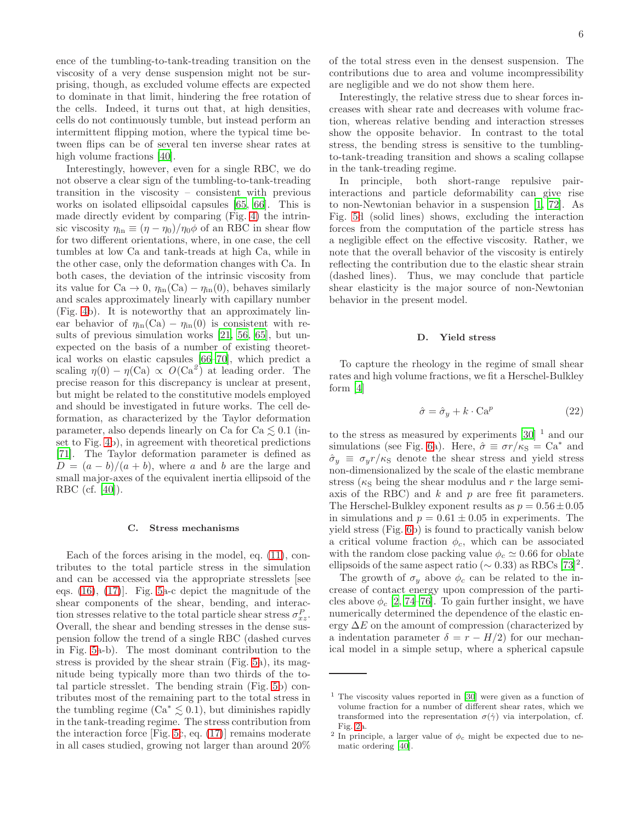ence of the tumbling-to-tank-treading transition on the viscosity of a very dense suspension might not be surprising, though, as excluded volume effects are expected to dominate in that limit, hindering the free rotation of the cells. Indeed, it turns out that, at high densities, cells do not continuously tumble, but instead perform an intermittent flipping motion, where the typical time between flips can be of several ten inverse shear rates at high volume fractions [\[40\]](#page-13-25).

Interestingly, however, even for a single RBC, we do not observe a clear sign of the tumbling-to-tank-treading transition in the viscosity – consistent with previous works on isolated ellipsoidal capsules [\[65](#page-14-17), [66\]](#page-14-18). This is made directly evident by comparing (Fig. [4\)](#page-7-1) the intrinsic viscosity  $\eta_{\text{in}} \equiv (\eta - \eta_0)/\eta_0 \phi$  of an RBC in shear flow for two different orientations, where, in one case, the cell tumbles at low Ca and tank-treads at high Ca, while in the other case, only the deformation changes with Ca. In both cases, the deviation of the intrinsic viscosity from its value for Ca  $\rightarrow$  0,  $\eta_{\text{in}}(\text{Ca}) - \eta_{\text{in}}(0)$ , behaves similarly and scales approximately linearly with capillary number (Fig. [4b](#page-7-1)). It is noteworthy that an approximately linear behavior of  $\eta_{\text{in}}(\text{Ca}) - \eta_{\text{in}}(0)$  is consistent with results of previous simulation works [\[21,](#page-13-32) [56,](#page-14-10) [65\]](#page-14-17), but unexpected on the basis of a number of existing theoretical works on elastic capsules [\[66](#page-14-18)[–70\]](#page-14-19), which predict a scaling  $\eta(0) - \eta(\text{Ca}) \propto O(\text{Ca}^2)$  at leading order. The precise reason for this discrepancy is unclear at present, but might be related to the constitutive models employed and should be investigated in future works. The cell deformation, as characterized by the Taylor deformation parameter, also depends linearly on Ca for  $Ca \leq 0.1$  (inset to Fig. [4b](#page-7-1)), in agreement with theoretical predictions [\[71\]](#page-14-20). The Taylor deformation parameter is defined as  $D = (a - b)/(a + b)$ , where a and b are the large and small major-axes of the equivalent inertia ellipsoid of the RBC (cf. [\[40](#page-13-25)]).

#### C. Stress mechanisms

Each of the forces arising in the model, eq. [\(11\)](#page-3-3), contributes to the total particle stress in the simulation and can be accessed via the appropriate stresslets [see eqs. [\(16\)](#page-3-4), [\(17\)](#page-3-5)]. Fig. [5a](#page-7-0)-c depict the magnitude of the shear components of the shear, bending, and interaction stresses relative to the total particle shear stress  $\sigma_{xz}^P$ . Overall, the shear and bending stresses in the dense suspension follow the trend of a single RBC (dashed curves in Fig. [5a](#page-7-0)-b). The most dominant contribution to the stress is provided by the shear strain (Fig. [5a](#page-7-0)), its magnitude being typically more than two thirds of the total particle stresslet. The bending strain (Fig. [5b](#page-7-0)) contributes most of the remaining part to the total stress in the tumbling regime  $(Ca^* \leq 0.1)$ , but diminishes rapidly in the tank-treading regime. The stress contribution from the interaction force [Fig. [5c](#page-7-0), eq. [\(17\)](#page-3-5)] remains moderate in all cases studied, growing not larger than around 20%

of the total stress even in the densest suspension. The contributions due to area and volume incompressibility are negligible and we do not show them here.

Interestingly, the relative stress due to shear forces increases with shear rate and decreases with volume fraction, whereas relative bending and interaction stresses show the opposite behavior. In contrast to the total stress, the bending stress is sensitive to the tumblingto-tank-treading transition and shows a scaling collapse in the tank-treading regime.

In principle, both short-range repulsive pairinteractions and particle deformability can give rise to non-Newtonian behavior in a suspension [\[1,](#page-13-1) [72](#page-14-21)]. As Fig. [5d](#page-7-0) (solid lines) shows, excluding the interaction forces from the computation of the particle stress has a negligible effect on the effective viscosity. Rather, we note that the overall behavior of the viscosity is entirely reflecting the contribution due to the elastic shear strain (dashed lines). Thus, we may conclude that particle shear elasticity is the major source of non-Newtonian behavior in the present model.

#### <span id="page-6-0"></span>D. Yield stress

To capture the rheology in the regime of small shear rates and high volume fractions, we fit a Herschel-Bulkley form [\[4](#page-13-3)]

<span id="page-6-1"></span>
$$
\hat{\sigma} = \hat{\sigma}_y + k \cdot \text{Ca}^p \tag{22}
$$

to the stress as measured by experiments  $[30]$ <sup>1</sup> and our simulations (see Fig. [6a](#page-8-0)). Here,  $\hat{\sigma} \equiv \sigma r / \kappa s = Ca^*$  and  $\hat{\sigma}_y \equiv \sigma_y r / \kappa_S$  denote the shear stress and yield stress non-dimensionalized by the scale of the elastic membrane stress ( $\kappa$ <sub>S</sub> being the shear modulus and r the large semiaxis of the RBC) and  $k$  and  $p$  are free fit parameters. The Herschel-Bulkley exponent results as  $p = 0.56 \pm 0.05$ in simulations and  $p = 0.61 \pm 0.05$  in experiments. The yield stress (Fig. [6b](#page-8-0)) is found to practically vanish below a critical volume fraction  $\phi_c$ , which can be associated with the random close packing value  $\phi_c \simeq 0.66$  for oblate ellipsoids of the same aspect ratio ( $\sim 0.33$ ) as RBCs [\[73](#page-14-22)]<sup>2</sup>.

The growth of  $\sigma_u$  above  $\phi_c$  can be related to the increase of contact energy upon compression of the particles above  $\phi_c$  [\[2](#page-13-33), [74](#page-14-23)[–76\]](#page-14-24). To gain further insight, we have numerically determined the dependence of the elastic energy  $\Delta E$  on the amount of compression (characterized by a indentation parameter  $\delta = r - H/2$  for our mechanical model in a simple setup, where a spherical capsule

 $1$  The viscosity values reported in [\[30](#page-13-17)] were given as a function of volume fraction for a number of different shear rates, which we transformed into the representation  $\sigma(\dot{\gamma})$  via interpolation, cf. Fig. [2a](#page-5-0).

<sup>&</sup>lt;sup>2</sup> In principle, a larger value of  $\phi_c$  might be expected due to nematic ordering [\[40](#page-13-25)].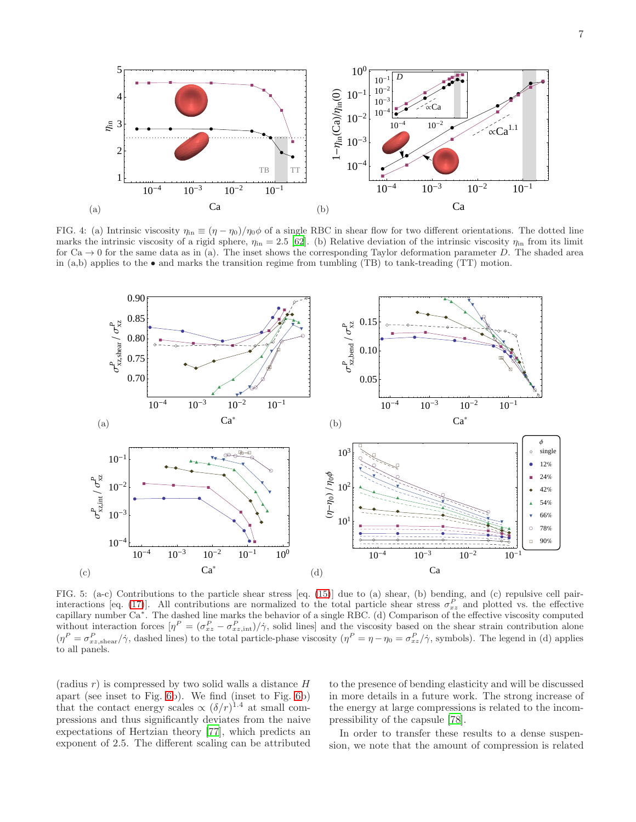

<span id="page-7-1"></span>FIG. 4: (a) Intrinsic viscosity  $\eta_{in} \equiv (\eta - \eta_0)/\eta_0 \phi$  of a single RBC in shear flow for two different orientations. The dotted line marks the intrinsic viscosity of a rigid sphere,  $\eta_{\rm in} = 2.5$  [\[62\]](#page-14-14). (b) Relative deviation of the intrinsic viscosity  $\eta_{\rm in}$  from its limit for  $Ca \rightarrow 0$  for the same data as in (a). The inset shows the corresponding Taylor deformation parameter D. The shaded area in (a,b) applies to the  $\bullet$  and marks the transition regime from tumbling (TB) to tank-treading (TT) motion.



<span id="page-7-0"></span>FIG. 5: (a-c) Contributions to the particle shear stress [eq. [\(15\)](#page-3-6)] due to (a) shear, (b) bending, and (c) repulsive cell pair-interactions [eq. [\(17\)](#page-3-5)]. All contributions are normalized to the total particle shear stress  $\sigma_{xz}^P$  and plotted vs. the effective capillary number  $Ca^*$ . The dashed line marks the behavior of a single RBC. (d) Comparison of the effective viscosity computed without interaction forces  $[\eta^P = (\sigma_{xz}^P - \sigma_{xz, \text{int}}^P)/\dot{\gamma}$ , solid lines] and the viscosity based on the shear strain contribution alone  $(\eta^P = \sigma_{xz,\text{shear}}^P/\dot{\gamma}$ , dashed lines) to the total particle-phase viscosity  $(\eta^P = \eta - \eta_0 = \sigma_{xz}^P/\dot{\gamma}$ , symbols). The legend in (d) applies to all panels.

 $(radius r)$  is compressed by two solid walls a distance  $H$ apart (see inset to Fig. [6b](#page-8-0)). We find (inset to Fig. [6b](#page-8-0)) that the contact energy scales  $\propto (\delta/r)^{1.4}$  at small compressions and thus significantly deviates from the naive expectations of Hertzian theory [\[77\]](#page-14-25), which predicts an exponent of 2.5. The different scaling can be attributed

to the presence of bending elasticity and will be discussed in more details in a future work. The strong increase of the energy at large compressions is related to the incompressibility of the capsule [\[78\]](#page-14-26).

In order to transfer these results to a dense suspension, we note that the amount of compression is related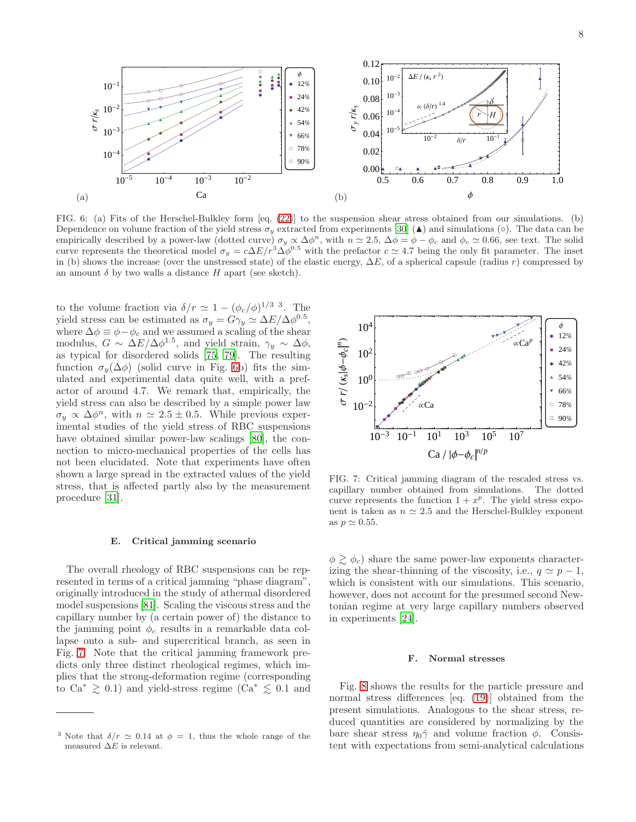

<span id="page-8-0"></span>FIG. 6: (a) Fits of the Herschel-Bulkley form [eq. [\(22\)](#page-6-1)] to the suspension shear stress obtained from our simulations. (b) Dependence on volume fraction of the yield stress  $\sigma_y$  extracted from experiments [\[30](#page-13-17)] ( $\blacktriangle$ ) and simulations ( $\circ$ ). The data can be empirically described by a power-law (dotted curve)  $\sigma_y \propto \Delta \phi^n$ , with  $n \simeq 2.5$ ,  $\Delta \phi = \phi - \phi_c$  and  $\phi_c \simeq 0.66$ , see text. The solid curve represents the theoretical model  $\sigma_y = c\Delta E/r^3\Delta\phi^{0.5}$  with the prefactor  $c \simeq 4.7$  being the only fit parameter. The inset in (b) shows the increase (over the unstressed state) of the elastic energy,  $\Delta E$ , of a spherical capsule (radius r) compressed by an amount  $\delta$  by two walls a distance H apart (see sketch).

to the volume fraction via  $\delta/r \simeq 1 - (\phi_c/\phi)^{1/3}$ <sup>3</sup>. The yield stress can be estimated as  $\sigma_y = G\gamma_y \simeq \Delta E/\Delta \phi^{0.5}$ , where  $\Delta \phi \equiv \phi - \phi_c$  and we assumed a scaling of the shear modulus,  $G \sim \Delta E / \Delta \phi^{1.5}$ , and yield strain,  $\gamma_y \sim \Delta \phi$ , as typical for disordered solids [\[75,](#page-14-27) [79\]](#page-14-28). The resulting function  $\sigma_y(\Delta\phi)$  (solid curve in Fig. [6b](#page-8-0)) fits the simulated and experimental data quite well, with a prefactor of around 4.7. We remark that, empirically, the yield stress can also be described by a simple power law  $\sigma_y \propto \Delta \phi^n$ , with  $n \simeq 2.5 \pm 0.5$ . While previous experimental studies of the yield stress of RBC suspensions have obtained similar power-law scalings [\[80](#page-14-29)], the connection to micro-mechanical properties of the cells has not been elucidated. Note that experiments have often shown a large spread in the extracted values of the yield stress, that is affected partly also by the measurement procedure [\[31](#page-13-18)].

#### E. Critical jamming scenario

The overall rheology of RBC suspensions can be represented in terms of a critical jamming "phase diagram", originally introduced in the study of athermal disordered model suspensions [\[81](#page-14-30)]. Scaling the viscous stress and the capillary number by (a certain power of) the distance to the jamming point  $\phi_c$  results in a remarkable data collapse onto a sub- and supercritical branch, as seen in Fig. [7.](#page-8-1) Note that the critical jamming framework predicts only three distinct rheological regimes, which implies that the strong-deformation regime (corresponding to  $Ca^* \geq 0.1$ ) and yield-stress regime ( $Ca^* \leq 0.1$  and



<span id="page-8-1"></span>FIG. 7: Critical jamming diagram of the rescaled stress vs. capillary number obtained from simulations. The dotted curve represents the function  $1 + x^p$ . The yield stress exponent is taken as  $n \approx 2.5$  and the Herschel-Bulkley exponent as  $p \simeq 0.55$ .

 $\phi \gtrsim \phi_c$ ) share the same power-law exponents characterizing the shear-thinning of the viscosity, i.e.,  $q \simeq p - 1$ , which is consistent with our simulations. This scenario, however, does not account for the presumed second Newtonian regime at very large capillary numbers observed in experiments [\[24](#page-13-13)].

#### F. Normal stresses

Fig. [8](#page-9-0) shows the results for the particle pressure and normal stress differences [eq. [\(19\)](#page-3-7)] obtained from the present simulations. Analogous to the shear stress, reduced quantities are considered by normalizing by the bare shear stress  $\eta_0 \dot{\gamma}$  and volume fraction  $\phi$ . Consistent with expectations from semi-analytical calculations

<sup>&</sup>lt;sup>3</sup> Note that  $\delta/r \simeq 0.14$  at  $\phi = 1$ , thus the whole range of the measured  $\Delta E$  is relevant.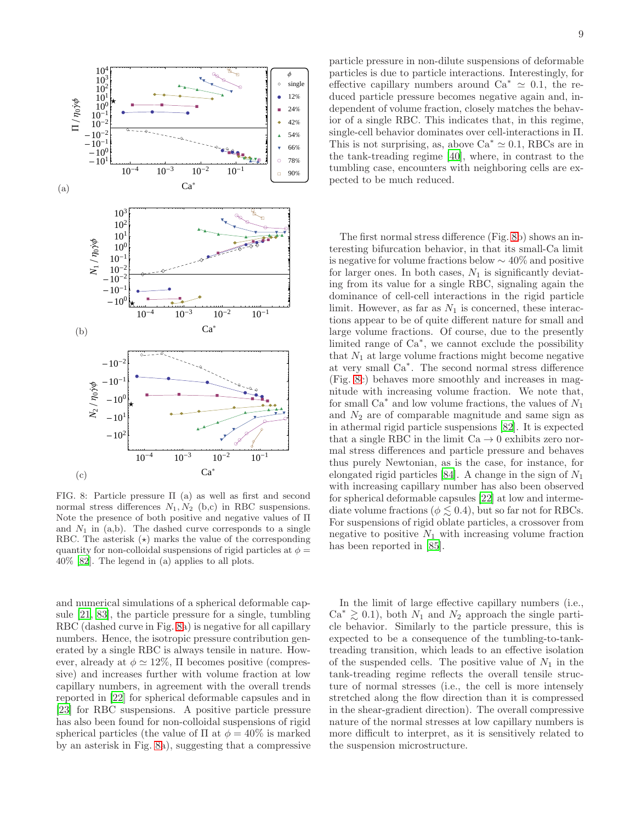

<span id="page-9-0"></span>FIG. 8: Particle pressure Π (a) as well as first and second normal stress differences  $N_1, N_2$  (b,c) in RBC suspensions. Note the presence of both positive and negative values of Π and  $N_1$  in (a,b). The dashed curve corresponds to a single RBC. The asterisk  $(\star)$  marks the value of the corresponding quantity for non-colloidal suspensions of rigid particles at  $\phi =$ 40% [\[82\]](#page-14-31). The legend in (a) applies to all plots.

and numerical simulations of a spherical deformable capsule [\[21,](#page-13-32) [83](#page-14-32)], the particle pressure for a single, tumbling RBC (dashed curve in Fig. [8a](#page-9-0)) is negative for all capillary numbers. Hence, the isotropic pressure contribution generated by a single RBC is always tensile in nature. However, already at  $\phi \simeq 12\%$ ,  $\Pi$  becomes positive (compressive) and increases further with volume fraction at low capillary numbers, in agreement with the overall trends reported in [\[22\]](#page-13-29) for spherical deformable capsules and in [\[23\]](#page-13-12) for RBC suspensions. A positive particle pressure has also been found for non-colloidal suspensions of rigid spherical particles (the value of  $\Pi$  at  $\phi = 40\%$  is marked by an asterisk in Fig. [8a](#page-9-0)), suggesting that a compressive

particle pressure in non-dilute suspensions of deformable particles is due to particle interactions. Interestingly, for effective capillary numbers around  $Ca^* \simeq 0.1$ , the reduced particle pressure becomes negative again and, independent of volume fraction, closely matches the behavior of a single RBC. This indicates that, in this regime, single-cell behavior dominates over cell-interactions in Π. This is not surprising, as, above  $Ca^* \approx 0.1$ , RBCs are in the tank-treading regime [\[40\]](#page-13-25), where, in contrast to the tumbling case, encounters with neighboring cells are expected to be much reduced.

The first normal stress difference (Fig. [8b](#page-9-0)) shows an interesting bifurcation behavior, in that its small-Ca limit is negative for volume fractions below ∼ 40% and positive for larger ones. In both cases,  $N_1$  is significantly deviating from its value for a single RBC, signaling again the dominance of cell-cell interactions in the rigid particle limit. However, as far as  $N_1$  is concerned, these interactions appear to be of quite different nature for small and large volume fractions. Of course, due to the presently limited range of Ca<sup>∗</sup> , we cannot exclude the possibility that  $N_1$  at large volume fractions might become negative at very small Ca<sup>∗</sup> . The second normal stress difference (Fig. [8c](#page-9-0)) behaves more smoothly and increases in magnitude with increasing volume fraction. We note that, for small  $Ca^*$  and low volume fractions, the values of  $N_1$ and  $N_2$  are of comparable magnitude and same sign as in athermal rigid particle suspensions [\[82](#page-14-31)]. It is expected that a single RBC in the limit  $Ca \rightarrow 0$  exhibits zero normal stress differences and particle pressure and behaves thus purely Newtonian, as is the case, for instance, for elongated rigid particles [\[84\]](#page-14-33). A change in the sign of  $N_1$ with increasing capillary number has also been observed for spherical deformable capsules [\[22\]](#page-13-29) at low and intermediate volume fractions ( $\phi \lesssim 0.4$ ), but so far not for RBCs. For suspensions of rigid oblate particles, a crossover from negative to positive  $N_1$  with increasing volume fraction has been reported in [\[85\]](#page-14-34).

In the limit of large effective capillary numbers (i.e.,  $Ca^* \geq 0.1$ , both  $N_1$  and  $N_2$  approach the single particle behavior. Similarly to the particle pressure, this is expected to be a consequence of the tumbling-to-tanktreading transition, which leads to an effective isolation of the suspended cells. The positive value of  $N_1$  in the tank-treading regime reflects the overall tensile structure of normal stresses (i.e., the cell is more intensely stretched along the flow direction than it is compressed in the shear-gradient direction). The overall compressive nature of the normal stresses at low capillary numbers is more difficult to interpret, as it is sensitively related to the suspension microstructure.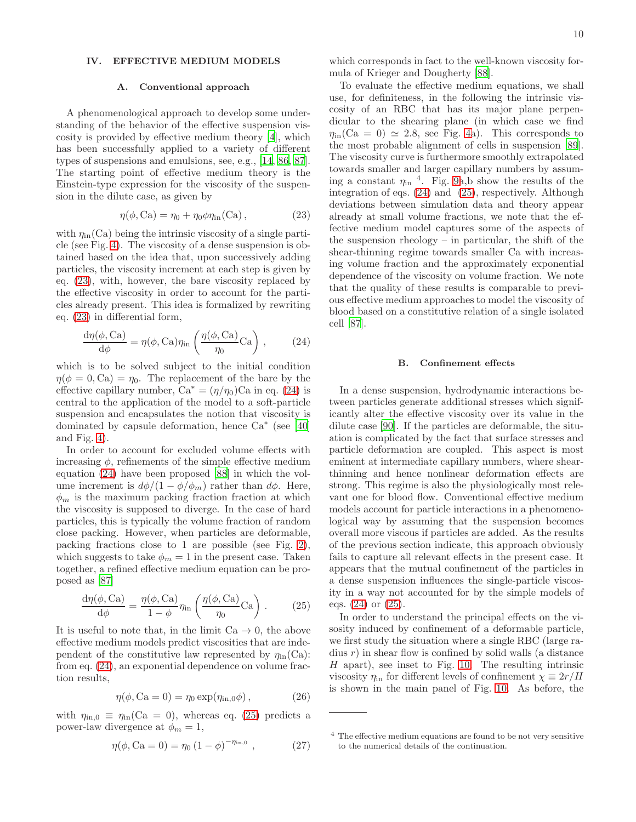#### <span id="page-10-0"></span>IV. EFFECTIVE MEDIUM MODELS

#### A. Conventional approach

A phenomenological approach to develop some understanding of the behavior of the effective suspension viscosity is provided by effective medium theory [\[4\]](#page-13-3), which has been successfully applied to a variety of different types of suspensions and emulsions, see, e.g., [\[14](#page-13-10), [86,](#page-14-35) [87\]](#page-14-36). The starting point of effective medium theory is the Einstein-type expression for the viscosity of the suspension in the dilute case, as given by

<span id="page-10-1"></span>
$$
\eta(\phi, Ca) = \eta_0 + \eta_0 \phi \eta_{\rm in}(Ca) ,\qquad (23)
$$

with  $\eta_{\text{in}}(\text{Ca})$  being the intrinsic viscosity of a single particle (see Fig. [4\)](#page-7-1). The viscosity of a dense suspension is obtained based on the idea that, upon successively adding particles, the viscosity increment at each step is given by eq. [\(23\)](#page-10-1), with, however, the bare viscosity replaced by the effective viscosity in order to account for the particles already present. This idea is formalized by rewriting eq. [\(23\)](#page-10-1) in differential form,

<span id="page-10-2"></span>
$$
\frac{d\eta(\phi, Ca)}{d\phi} = \eta(\phi, Ca)\eta_{\rm in}\left(\frac{\eta(\phi, Ca)}{\eta_0}Ca\right),\qquad(24)
$$

which is to be solved subject to the initial condition  $\eta(\phi = 0, \text{Ca}) = \eta_0$ . The replacement of the bare by the effective capillary number,  $Ca^* = (\eta/\eta_0)Ca$  in eq. [\(24\)](#page-10-2) is central to the application of the model to a soft-particle suspension and encapsulates the notion that viscosity is dominated by capsule deformation, hence  $\text{Ca}^*$  (see [\[40](#page-13-25)] and Fig. [4\)](#page-7-1).

In order to account for excluded volume effects with increasing  $\phi$ , refinements of the simple effective medium equation [\(24\)](#page-10-2) have been proposed [\[88\]](#page-14-37) in which the volume increment is  $d\phi/(1-\phi/\phi_m)$  rather than  $d\phi$ . Here,  $\phi_m$  is the maximum packing fraction fraction at which the viscosity is supposed to diverge. In the case of hard particles, this is typically the volume fraction of random close packing. However, when particles are deformable, packing fractions close to 1 are possible (see Fig. [2\)](#page-5-0), which suggests to take  $\phi_m = 1$  in the present case. Taken together, a refined effective medium equation can be proposed as [\[87\]](#page-14-36)

<span id="page-10-3"></span>
$$
\frac{d\eta(\phi, Ca)}{d\phi} = \frac{\eta(\phi, Ca)}{1 - \phi} \eta_{\text{in}} \left( \frac{\eta(\phi, Ca)}{\eta_0} Ca \right). \tag{25}
$$

It is useful to note that, in the limit  $Ca \rightarrow 0$ , the above effective medium models predict viscosities that are independent of the constitutive law represented by  $\eta_{\text{in}}(\text{Ca})$ : from eq. [\(24\)](#page-10-2), an exponential dependence on volume fraction results,

<span id="page-10-4"></span>
$$
\eta(\phi, \text{Ca} = 0) = \eta_0 \exp(\eta_{\text{in},0}\phi), \qquad (26)
$$

with  $\eta_{\text{in},0} \equiv \eta_{\text{in}}(\text{Ca} = 0)$ , whereas eq. [\(25\)](#page-10-3) predicts a power-law divergence at  $\phi_m = 1$ ,

$$
\eta(\phi, \text{Ca} = 0) = \eta_0 \left(1 - \phi\right)^{-\eta_{\text{in},0}}, \tag{27}
$$

which corresponds in fact to the well-known viscosity formula of Krieger and Dougherty [\[88\]](#page-14-37).

To evaluate the effective medium equations, we shall use, for definiteness, in the following the intrinsic viscosity of an RBC that has its major plane perpendicular to the shearing plane (in which case we find  $\eta_{\text{in}}(\text{Ca} = 0) \simeq 2.8$ , see Fig. [4a](#page-7-1)). This corresponds to the most probable alignment of cells in suspension [\[89\]](#page-14-38). The viscosity curve is furthermore smoothly extrapolated towards smaller and larger capillary numbers by assuming a constant  $\eta_{\text{in}}$ <sup>4</sup>. Fig. [9a](#page-11-0),b show the results of the integration of eqs. [\(24\)](#page-10-2) and [\(25\)](#page-10-3), respectively. Although deviations between simulation data and theory appear already at small volume fractions, we note that the effective medium model captures some of the aspects of the suspension rheology – in particular, the shift of the shear-thinning regime towards smaller Ca with increasing volume fraction and the approximately exponential dependence of the viscosity on volume fraction. We note that the quality of these results is comparable to previous effective medium approaches to model the viscosity of blood based on a constitutive relation of a single isolated cell [\[87\]](#page-14-36).

#### B. Confinement effects

In a dense suspension, hydrodynamic interactions between particles generate additional stresses which significantly alter the effective viscosity over its value in the dilute case [\[90\]](#page-14-39). If the particles are deformable, the situation is complicated by the fact that surface stresses and particle deformation are coupled. This aspect is most eminent at intermediate capillary numbers, where shearthinning and hence nonlinear deformation effects are strong. This regime is also the physiologically most relevant one for blood flow. Conventional effective medium models account for particle interactions in a phenomenological way by assuming that the suspension becomes overall more viscous if particles are added. As the results of the previous section indicate, this approach obviously fails to capture all relevant effects in the present case. It appears that the mutual confinement of the particles in a dense suspension influences the single-particle viscosity in a way not accounted for by the simple models of eqs. [\(24\)](#page-10-2) or [\(25\)](#page-10-3).

In order to understand the principal effects on the visosity induced by confinement of a deformable particle, we first study the situation where a single RBC (large radius  $r$ ) in shear flow is confined by solid walls (a distance H apart), see inset to Fig. [10.](#page-11-1) The resulting intrinsic viscosity  $\eta$ <sub>in</sub> for different levels of confinement  $\chi \equiv 2r/H$ is shown in the main panel of Fig. [10.](#page-11-1) As before, the

<sup>4</sup> The effective medium equations are found to be not very sensitive to the numerical details of the continuation.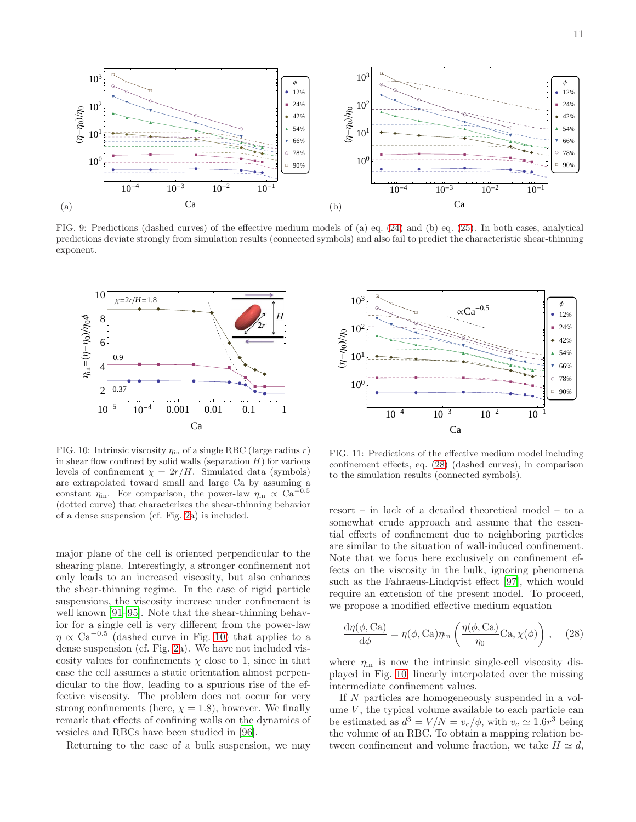

<span id="page-11-0"></span>FIG. 9: Predictions (dashed curves) of the effective medium models of (a) eq. [\(24\)](#page-10-2) and (b) eq. [\(25\)](#page-10-3). In both cases, analytical predictions deviate strongly from simulation results (connected symbols) and also fail to predict the characteristic shear-thinning exponent.



<span id="page-11-1"></span>FIG. 10: Intrinsic viscosity  $\eta$ <sub>in</sub> of a single RBC (large radius r) in shear flow confined by solid walls (separation  $H$ ) for various levels of confinement  $\chi = 2r/H$ . Simulated data (symbols) are extrapolated toward small and large Ca by assuming a constant  $\eta_{\rm in}$ . For comparison, the power-law  $\eta_{\rm in} \propto Ca^{-0.5}$ (dotted curve) that characterizes the shear-thinning behavior of a dense suspension (cf. Fig. [2a](#page-5-0)) is included.

major plane of the cell is oriented perpendicular to the shearing plane. Interestingly, a stronger confinement not only leads to an increased viscosity, but also enhances the shear-thinning regime. In the case of rigid particle suspensions, the viscosity increase under confinement is well known [\[91](#page-14-40)[–95\]](#page-14-41). Note that the shear-thinning behavior for a single cell is very different from the power-law  $\eta \propto \text{Ca}^{-0.5}$  (dashed curve in Fig. [10\)](#page-11-1) that applies to a dense suspension (cf. Fig. [2a](#page-5-0)). We have not included viscosity values for confinements  $\chi$  close to 1, since in that case the cell assumes a static orientation almost perpendicular to the flow, leading to a spurious rise of the effective viscosity. The problem does not occur for very strong confinements (here,  $\chi = 1.8$ ), however. We finally remark that effects of confining walls on the dynamics of vesicles and RBCs have been studied in [\[96\]](#page-14-42).

Returning to the case of a bulk suspension, we may



<span id="page-11-3"></span>FIG. 11: Predictions of the effective medium model including confinement effects, eq. [\(28\)](#page-11-2) (dashed curves), in comparison to the simulation results (connected symbols).

resort – in lack of a detailed theoretical model – to a somewhat crude approach and assume that the essential effects of confinement due to neighboring particles are similar to the situation of wall-induced confinement. Note that we focus here exclusively on confinement effects on the viscosity in the bulk, ignoring phenomena such as the Fahraeus-Lindqvist effect [\[97\]](#page-14-43), which would require an extension of the present model. To proceed, we propose a modified effective medium equation

<span id="page-11-2"></span>
$$
\frac{d\eta(\phi, Ca)}{d\phi} = \eta(\phi, Ca)\eta_{\rm in}\left(\frac{\eta(\phi, Ca)}{\eta_0}Ca, \chi(\phi)\right), \quad (28)
$$

where  $\eta_{\text{in}}$  is now the intrinsic single-cell viscosity displayed in Fig. [10,](#page-11-1) linearly interpolated over the missing intermediate confinement values.

If N particles are homogeneously suspended in a volume  $V$ , the typical volume available to each particle can be estimated as  $d^3 = V/N = v_c/\phi$ , with  $v_c \simeq 1.6r^3$  being the volume of an RBC. To obtain a mapping relation between confinement and volume fraction, we take  $H \simeq d$ ,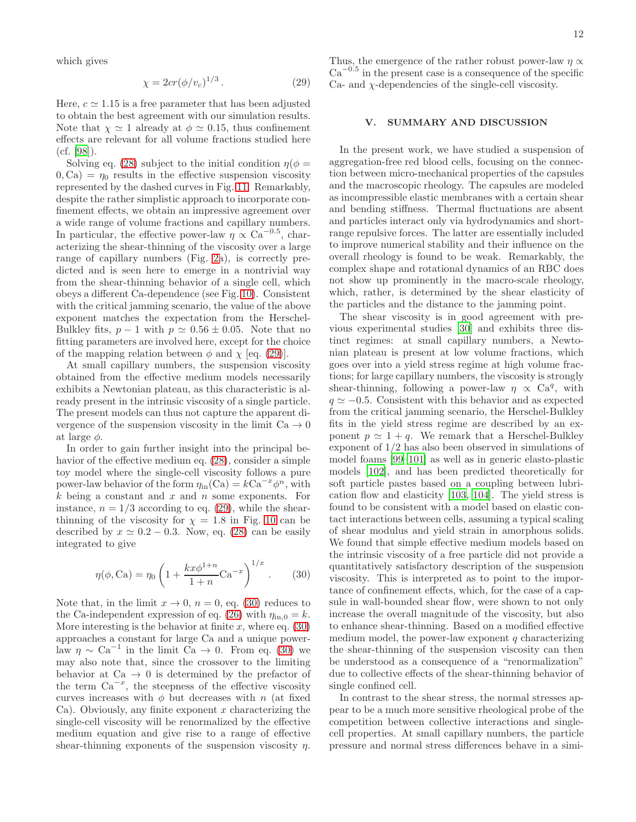which gives

<span id="page-12-0"></span>
$$
\chi = 2cr(\phi/v_c)^{1/3}.
$$
\n(29)

Here,  $c \approx 1.15$  is a free parameter that has been adjusted to obtain the best agreement with our simulation results. Note that  $\chi \simeq 1$  already at  $\phi \simeq 0.15$ , thus confinement effects are relevant for all volume fractions studied here (cf. [\[98](#page-14-44)]).

Solving eq. [\(28\)](#page-11-2) subject to the initial condition  $\eta(\phi =$  $(0, Ca) = \eta_0$  results in the effective suspension viscosity represented by the dashed curves in Fig. [11.](#page-11-3) Remarkably, despite the rather simplistic approach to incorporate confinement effects, we obtain an impressive agreement over a wide range of volume fractions and capillary numbers. In particular, the effective power-law  $\eta \propto Ca^{-0.5}$ , characterizing the shear-thinning of the viscosity over a large range of capillary numbers (Fig. [2a](#page-5-0)), is correctly predicted and is seen here to emerge in a nontrivial way from the shear-thinning behavior of a single cell, which obeys a different Ca-dependence (see Fig. [10\)](#page-11-1). Consistent with the critical jamming scenario, the value of the above exponent matches the expectation from the Herschel-Bulkley fits,  $p-1$  with  $p \approx 0.56 \pm 0.05$ . Note that no fitting parameters are involved here, except for the choice of the mapping relation between  $\phi$  and  $\chi$  [eq. [\(29\)](#page-12-0)].

At small capillary numbers, the suspension viscosity obtained from the effective medium models necessarily exhibits a Newtonian plateau, as this characteristic is already present in the intrinsic viscosity of a single particle. The present models can thus not capture the apparent divergence of the suspension viscosity in the limit  $Ca \rightarrow 0$ at large  $\phi$ .

In order to gain further insight into the principal behavior of the effective medium eq. [\(28\)](#page-11-2), consider a simple toy model where the single-cell viscosity follows a pure power-law behavior of the form  $\eta_{\text{in}}(\text{Ca}) = k\text{Ca}^{-x}\phi^n$ , with  $k$  being a constant and  $x$  and  $n$  some exponents. For instance,  $n = 1/3$  according to eq. [\(29\)](#page-12-0), while the shearthinning of the viscosity for  $\chi = 1.8$  in Fig. [10](#page-11-1) can be described by  $x \approx 0.2 - 0.3$ . Now, eq. [\(28\)](#page-11-2) can be easily integrated to give

<span id="page-12-1"></span>
$$
\eta(\phi, Ca) = \eta_0 \left( 1 + \frac{kx\phi^{1+n}}{1+n} Ca^{-x} \right)^{1/x} .
$$
 (30)

Note that, in the limit  $x \to 0$ ,  $n = 0$ , eq. [\(30\)](#page-12-1) reduces to the Ca-independent expression of eq. [\(26\)](#page-10-4) with  $\eta_{\text{in},0} = k$ . More interesting is the behavior at finite x, where eq.  $(30)$ approaches a constant for large Ca and a unique powerlaw  $\eta \sim Ca^{-1}$  in the limit  $Ca \to 0$ . From eq. [\(30\)](#page-12-1) we may also note that, since the crossover to the limiting behavior at  $Ca \rightarrow 0$  is determined by the prefactor of the term  $Ca^{-x}$ , the steepness of the effective viscosity curves increases with  $\phi$  but decreases with n (at fixed Ca). Obviously, any finite exponent  $x$  characterizing the single-cell viscosity will be renormalized by the effective medium equation and give rise to a range of effective shear-thinning exponents of the suspension viscosity  $\eta$ .

Thus, the emergence of the rather robust power-law  $\eta \propto$  $Ca^{-0.5}$  in the present case is a consequence of the specific  $Ca<sub>1</sub>$  and  $\gamma$ -dependencies of the single-cell viscosity.

#### V. SUMMARY AND DISCUSSION

In the present work, we have studied a suspension of aggregation-free red blood cells, focusing on the connection between micro-mechanical properties of the capsules and the macroscopic rheology. The capsules are modeled as incompressible elastic membranes with a certain shear and bending stiffness. Thermal fluctuations are absent and particles interact only via hydrodynamics and shortrange repulsive forces. The latter are essentially included to improve numerical stability and their influence on the overall rheology is found to be weak. Remarkably, the complex shape and rotational dynamics of an RBC does not show up prominently in the macro-scale rheology, which, rather, is determined by the shear elasticity of the particles and the distance to the jamming point.

The shear viscosity is in good agreement with previous experimental studies [\[30\]](#page-13-17) and exhibits three distinct regimes: at small capillary numbers, a Newtonian plateau is present at low volume fractions, which goes over into a yield stress regime at high volume fractions; for large capillary numbers, the viscosity is strongly shear-thinning, following a power-law  $\eta \propto \text{Ca}^q$ , with  $q \approx -0.5$ . Consistent with this behavior and as expected from the critical jamming scenario, the Herschel-Bulkley fits in the yield stress regime are described by an exponent  $p \simeq 1 + q$ . We remark that a Herschel-Bulkley exponent of 1/2 has also been observed in simulations of model foams [\[99](#page-14-45)[–101](#page-14-46)] as well as in generic elasto-plastic models [\[102\]](#page-14-47), and has been predicted theoretically for soft particle pastes based on a coupling between lubrication flow and elasticity [\[103,](#page-14-48) [104\]](#page-14-49). The yield stress is found to be consistent with a model based on elastic contact interactions between cells, assuming a typical scaling of shear modulus and yield strain in amorphous solids. We found that simple effective medium models based on the intrinsic viscosity of a free particle did not provide a quantitatively satisfactory description of the suspension viscosity. This is interpreted as to point to the importance of confinement effects, which, for the case of a capsule in wall-bounded shear flow, were shown to not only increase the overall magnitude of the viscosity, but also to enhance shear-thinning. Based on a modified effective medium model, the power-law exponent  $q$  characterizing the shear-thinning of the suspension viscosity can then be understood as a consequence of a "renormalization" due to collective effects of the shear-thinning behavior of single confined cell.

In contrast to the shear stress, the normal stresses appear to be a much more sensitive rheological probe of the competition between collective interactions and singlecell properties. At small capillary numbers, the particle pressure and normal stress differences behave in a simi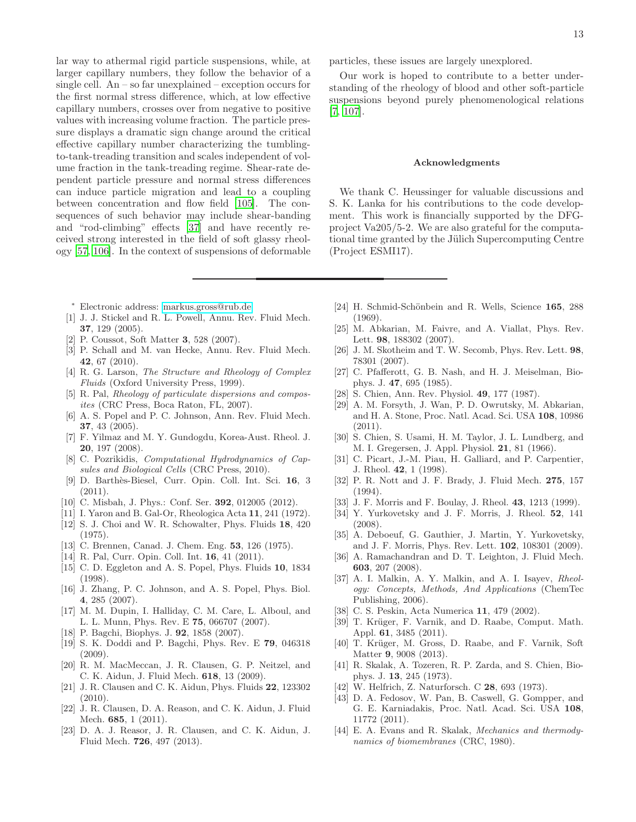lar way to athermal rigid particle suspensions, while, at larger capillary numbers, they follow the behavior of a single cell. An – so far unexplained – exception occurs for the first normal stress difference, which, at low effective capillary numbers, crosses over from negative to positive values with increasing volume fraction. The particle pressure displays a dramatic sign change around the critical effective capillary number characterizing the tumblingto-tank-treading transition and scales independent of volume fraction in the tank-treading regime. Shear-rate dependent particle pressure and normal stress differences can induce particle migration and lead to a coupling between concentration and flow field [\[105](#page-14-50)]. The consequences of such behavior may include shear-banding and "rod-climbing" effects [\[37\]](#page-13-22) and have recently received strong interested in the field of soft glassy rheology [\[57,](#page-14-11) [106\]](#page-14-51). In the context of suspensions of deformable

- <span id="page-13-0"></span><sup>∗</sup> Electronic address: [markus.gross@rub.de](mailto:markus.gross@rub.de)
- <span id="page-13-1"></span>[1] J. J. Stickel and R. L. Powell, Annu. Rev. Fluid Mech. 37, 129 (2005).
- <span id="page-13-33"></span>[2] P. Coussot, Soft Matter 3, 528 (2007).
- <span id="page-13-2"></span>[3] P. Schall and M. van Hecke, Annu. Rev. Fluid Mech. 42, 67 (2010).
- <span id="page-13-3"></span>[4] R. G. Larson, *The Structure and Rheology of Complex Fluids* (Oxford University Press, 1999).
- <span id="page-13-4"></span>[5] R. Pal, *Rheology of particulate dispersions and composites* (CRC Press, Boca Raton, FL, 2007).
- <span id="page-13-5"></span>[6] A. S. Popel and P. C. Johnson, Ann. Rev. Fluid Mech. 37, 43 (2005).
- <span id="page-13-6"></span>[7] F. Yilmaz and M. Y. Gundogdu, Korea-Aust. Rheol. J. 20, 197 (2008).
- <span id="page-13-7"></span>[8] C. Pozrikidis, *Computational Hydrodynamics of Capsules and Biological Cells* (CRC Press, 2010).
- [9] D. Barth`es-Biesel, Curr. Opin. Coll. Int. Sci. 16, 3 (2011).
- <span id="page-13-8"></span>[10] C. Misbah, J. Phys.: Conf. Ser. **392**, 012005 (2012).
- <span id="page-13-9"></span>[11] I. Yaron and B. Gal-Or, Rheologica Acta 11, 241 (1972). [12] S. J. Choi and W. R. Schowalter, Phys. Fluids 18, 420
- (1975).
- [13] C. Brennen, Canad. J. Chem. Eng. **53**, 126 (1975).
- <span id="page-13-10"></span>[14] R. Pal, Curr. Opin. Coll. Int. **16**, 41 (2011).
- <span id="page-13-11"></span>[15] C. D. Eggleton and A. S. Popel, Phys. Fluids 10, 1834 (1998).
- [16] J. Zhang, P. C. Johnson, and A. S. Popel, Phys. Biol. 4, 285 (2007).
- [17] M. M. Dupin, I. Halliday, C. M. Care, L. Alboul, and L. L. Munn, Phys. Rev. E 75, 066707 (2007).
- [18] P. Bagchi, Biophys. J. **92**, 1858 (2007).
- [19] S. K. Doddi and P. Bagchi, Phys. Rev. E 79, 046318 (2009).
- <span id="page-13-28"></span>[20] R. M. MacMeccan, J. R. Clausen, G. P. Neitzel, and C. K. Aidun, J. Fluid Mech. 618, 13 (2009).
- <span id="page-13-32"></span>[21] J. R. Clausen and C. K. Aidun, Phys. Fluids 22, 123302 (2010).
- <span id="page-13-29"></span>[22] J. R. Clausen, D. A. Reason, and C. K. Aidun, J. Fluid Mech. 685, 1 (2011).
- <span id="page-13-12"></span>[23] D. A. J. Reasor, J. R. Clausen, and C. K. Aidun, J. Fluid Mech. 726, 497 (2013).

particles, these issues are largely unexplored.

Our work is hoped to contribute to a better understanding of the rheology of blood and other soft-particle suspensions beyond purely phenomenological relations [\[7,](#page-13-6) [107\]](#page-14-52).

#### Acknowledgments

We thank C. Heussinger for valuable discussions and S. K. Lanka for his contributions to the code development. This work is financially supported by the DFGproject Va205/5-2. We are also grateful for the computational time granted by the Jülich Supercomputing Centre (Project ESMI17).

- <span id="page-13-13"></span>[24] H. Schmid-Schönbein and R. Wells, Science 165, 288 (1969).
- [25] M. Abkarian, M. Faivre, and A. Viallat, Phys. Rev. Lett. 98, 188302 (2007).
- <span id="page-13-14"></span>[26] J. M. Skotheim and T. W. Secomb, Phys. Rev. Lett. 98, 78301 (2007).
- <span id="page-13-15"></span>[27] C. Pfafferott, G. B. Nash, and H. J. Meiselman, Biophys. J. 47, 695 (1985).
- S. Chien, Ann. Rev. Physiol. 49, 177 (1987).
- <span id="page-13-16"></span>[29] A. M. Forsyth, J. Wan, P. D. Owrutsky, M. Abkarian, and H. A. Stone, Proc. Natl. Acad. Sci. USA 108, 10986 (2011).
- <span id="page-13-17"></span>[30] S. Chien, S. Usami, H. M. Taylor, J. L. Lundberg, and M. I. Gregersen, J. Appl. Physiol. 21, 81 (1966).
- <span id="page-13-18"></span>[31] C. Picart, J.-M. Piau, H. Galliard, and P. Carpentier, J. Rheol. 42, 1 (1998).
- <span id="page-13-19"></span>[32] P. R. Nott and J. F. Brady, J. Fluid Mech. 275, 157 (1994).
- [33] J. F. Morris and F. Boulay, J. Rheol. **43**, 1213 (1999).
- [34] Y. Yurkovetsky and J. F. Morris, J. Rheol. 52, 141  $(2008)$
- <span id="page-13-20"></span>[35] A. Deboeuf, G. Gauthier, J. Martin, Y. Yurkovetsky, and J. F. Morris, Phys. Rev. Lett. 102, 108301 (2009).
- <span id="page-13-21"></span>[36] A. Ramachandran and D. T. Leighton, J. Fluid Mech. 603, 207 (2008).
- <span id="page-13-22"></span>[37] A. I. Malkin, A. Y. Malkin, and A. I. Isayev, *Rheology: Concepts, Methods, And Applications* (ChemTec Publishing, 2006).
- <span id="page-13-23"></span>[38] C. S. Peskin, Acta Numerica 11, 479 (2002).
- <span id="page-13-24"></span>[39] T. Krüger, F. Varnik, and D. Raabe, Comput. Math. Appl. 61, 3485 (2011).
- <span id="page-13-25"></span>[40] T. Krüger, M. Gross, D. Raabe, and F. Varnik, Soft Matter 9, 9008 (2013).
- <span id="page-13-26"></span>[41] R. Skalak, A. Tozeren, R. P. Zarda, and S. Chien, Biophys. J. 13, 245 (1973).
- <span id="page-13-27"></span>[42] W. Helfrich, Z. Naturforsch. C 28, 693 (1973).
- <span id="page-13-30"></span>[43] D. A. Fedosov, W. Pan, B. Caswell, G. Gompper, and G. E. Karniadakis, Proc. Natl. Acad. Sci. USA 108, 11772 (2011).
- <span id="page-13-31"></span>[44] E. A. Evans and R. Skalak, *Mechanics and thermodynamics of biomembranes* (CRC, 1980).